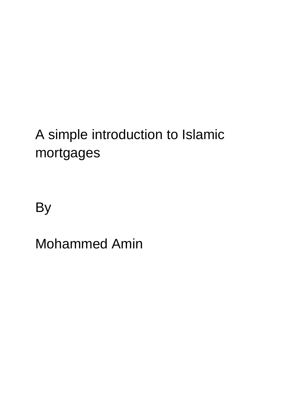By

Mohammed Amin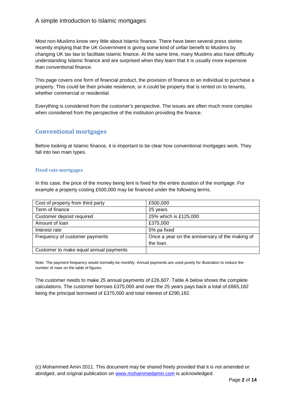Most non-Muslims know very little about Islamic finance. There have been several press stories recently implying that the UK Government is giving some kind of unfair benefit to Muslims by changing UK tax law to facilitate Islamic finance. At the same time, many Muslims also have difficulty understanding Islamic finance and are surprised when they learn that it is usually more expensive than conventional finance.

This page covers one form of financial product, the provision of finance to an individual to purchase a property. This could be their private residence, or it could be property that is rented on to tenants, whether commercial or residential.

Everything is considered from the customer's perspective. The issues are often much more complex when considered from the perspective of the institution providing the finance.

## **Conventional mortgages**

Before looking at Islamic finance, it is important to be clear how conventional mortgages work. They fall into two main types.

#### **Fixed rate mortgages**

In this case, the price of the money being lent is fixed for the entire duration of the mortgage. For example a property costing £500,000 may be financed under the following terms.

| Cost of property from third party      | £500,000                                        |
|----------------------------------------|-------------------------------------------------|
| Term of finance                        | 25 years                                        |
| Customer deposit required              | 25% which is £125,000                           |
| Amount of Ioan                         | £375,000                                        |
| Interest rate                          | 5% pa fixed                                     |
| Frequency of customer payments         | Once a year on the anniversary of the making of |
|                                        | the loan.                                       |
| Customer to make equal annual payments |                                                 |

Note: The payment frequency would normally be monthly. Annual payments are used purely for illustration to reduce the number of rows on the table of figures.

The customer needs to make 25 annual payments of £26,607. Table A below shows the complete calculations. The customer borrows £375,000 and over the 25 years pays back a total of £665,182 being the principal borrowed of £375,000 and total interest of £290,182.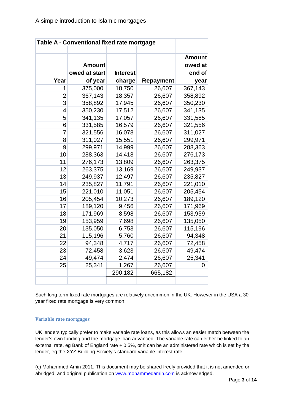|                | Table A - Conventional fixed rate mortgage |                 |                  |                          |
|----------------|--------------------------------------------|-----------------|------------------|--------------------------|
|                | <b>Amount</b>                              |                 |                  | <b>Amount</b><br>owed at |
|                | owed at start                              | <b>Interest</b> |                  | end of                   |
| Year           | of year                                    | charge          | <b>Repayment</b> | year                     |
| 1              | 375,000                                    | 18,750          | 26,607           | 367,143                  |
| $\overline{2}$ | 367,143                                    | 18,357          | 26,607           | 358,892                  |
| 3              | 358,892                                    | 17,945          | 26,607           | 350,230                  |
| 4              | 350,230                                    | 17,512          | 26,607           | 341,135                  |
| 5              | 341,135                                    | 17,057          | 26,607           | 331,585                  |
| 6              | 331,585                                    | 16,579          | 26,607           | 321,556                  |
| $\overline{7}$ | 321,556                                    | 16,078          | 26,607           | 311,027                  |
| 8              | 311,027                                    | 15,551          | 26,607           | 299,971                  |
| 9              | 299,971                                    | 14,999          | 26,607           | 288,363                  |
| 10             | 288,363                                    | 14,418          | 26,607           | 276,173                  |
| 11             | 276,173                                    | 13,809          | 26,607           | 263,375                  |
| 12             | 263,375                                    | 13,169          | 26,607           | 249,937                  |
| 13             | 249,937                                    | 12,497          | 26,607           | 235,827                  |
| 14             | 235,827                                    | 11,791          | 26,607           | 221,010                  |
| 15             | 221,010                                    | 11,051          | 26,607           | 205,454                  |
| 16             | 205,454                                    | 10,273          | 26,607           | 189,120                  |
| 17             | 189,120                                    | 9,456           | 26,607           | 171,969                  |
| 18             | 171,969                                    | 8,598           | 26,607           | 153,959                  |
| 19             | 153,959                                    | 7,698           | 26,607           | 135,050                  |
| 20             | 135,050                                    | 6,753           | 26,607           | 115,196                  |
| 21             | 115,196                                    | 5,760           | 26,607           | 94,348                   |
| 22             | 94,348                                     | 4,717           | 26,607           | 72,458                   |
| 23             | 72,458                                     | 3,623           | 26,607           | 49,474                   |
| 24             | 49,474                                     | 2,474           | 26,607           | 25,341                   |
| 25             | 25,341                                     | 1,267           | 26,607           | 0                        |
|                |                                            | 290,182         | 665,182          |                          |

Such long term fixed rate mortgages are relatively uncommon in the UK. However in the USA a 30 year fixed rate mortgage is very common.

### **Variable rate mortgages**

UK lenders typically prefer to make variable rate loans, as this allows an easier match between the lender's own funding and the mortgage loan advanced. The variable rate can either be linked to an external rate, eg Bank of England rate + 0.5%, or it can be an administered rate which is set by the lender, eg the XYZ Building Society's standard variable interest rate.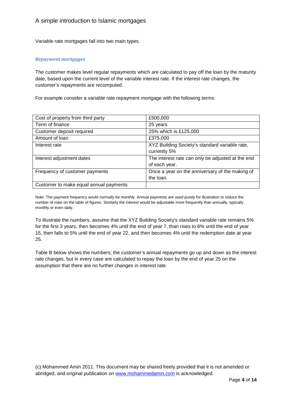Variable rate mortgages fall into two main types.

#### *Repayment mortgages*

The customer makes level regular repayments which are calculated to pay off the loan by the maturity date, based upon the current level of the variable interest rate. If the interest rate changes, the customer's repayments are recomputed.

For example consider a variable rate repayment mortgage with the following terms:

| Cost of property from third party      | £500,000                                          |
|----------------------------------------|---------------------------------------------------|
| Term of finance                        | 25 years                                          |
| Customer deposit required              | 25% which is £125,000                             |
| Amount of Ioan                         | £375,000                                          |
| Interest rate                          | XYZ Building Society's standard variable rate,    |
|                                        | currently 5%                                      |
| Interest adjustment dates              | The interest rate can only be adjusted at the end |
|                                        | of each year.                                     |
| Frequency of customer payments         | Once a year on the anniversary of the making of   |
|                                        | the loan.                                         |
| Customer to make equal annual payments |                                                   |

Note: The payment frequency would normally be monthly. Annual payments are used purely for illustration to reduce the number of rows on the table of figures. Similarly the interest would be adjustable more frequently than annually, typically monthly or even daily.

To illustrate the numbers, assume that the XYZ Building Society's standard variable rate remains 5% for the first 3 years, then becomes 4% until the end of year 7, than rises to 6% until the end of year 15, then falls to 5% until the end of year 22, and then becomes 4% until the redemption date at year 25.

Table B below shows the numbers; the customer's annual repayments go up and down as the interest rate changes, but in every case are calculated to repay the loan by the end of year 25 on the assumption that there are no further changes in interest rate.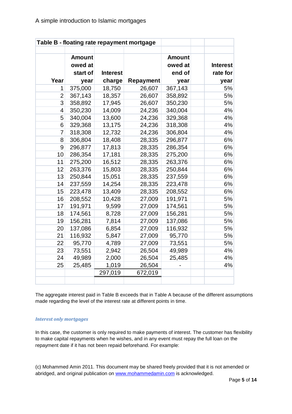|                |                                      |                 | Table B - floating rate repayment mortgage |                                    |                             |
|----------------|--------------------------------------|-----------------|--------------------------------------------|------------------------------------|-----------------------------|
|                | <b>Amount</b><br>owed at<br>start of | <b>Interest</b> |                                            | <b>Amount</b><br>owed at<br>end of | <b>Interest</b><br>rate for |
| Year           | year                                 | charge          | Repayment                                  | year                               | year                        |
| 1              | 375,000                              | 18,750          | 26,607                                     | 367,143                            | 5%                          |
| $\overline{2}$ | 367,143                              | 18,357          | 26,607                                     | 358,892                            | 5%                          |
| 3              | 358,892                              | 17,945          | 26,607                                     | 350,230                            | 5%                          |
| 4              | 350,230                              | 14,009          | 24,236                                     | 340,004                            | 4%                          |
| 5              | 340,004                              | 13,600          | 24,236                                     | 329,368                            | 4%                          |
| 6              | 329,368                              | 13,175          | 24,236                                     | 318,308                            | 4%                          |
| $\overline{7}$ | 318,308                              | 12,732          | 24,236                                     | 306,804                            | 4%                          |
| 8              | 306,804                              | 18,408          | 28,335                                     | 296,877                            | 6%                          |
| 9              | 296,877                              | 17,813          | 28,335                                     | 286,354                            | 6%                          |
| 10             | 286,354                              | 17,181          | 28,335                                     | 275,200                            | 6%                          |
| 11             | 275,200                              | 16,512          | 28,335                                     | 263,376                            | 6%                          |
| 12             | 263,376                              | 15,803          | 28,335                                     | 250,844                            | 6%                          |
| 13             | 250,844                              | 15,051          | 28,335                                     | 237,559                            | 6%                          |
| 14             | 237,559                              | 14,254          | 28,335                                     | 223,478                            | 6%                          |
| 15             | 223,478                              | 13,409          | 28,335                                     | 208,552                            | 6%                          |
| 16             | 208,552                              | 10,428          | 27,009                                     | 191,971                            | 5%                          |
| 17             | 191,971                              | 9,599           | 27,009                                     | 174,561                            | 5%                          |
| 18             | 174,561                              | 8,728           | 27,009                                     | 156,281                            | 5%                          |
| 19             | 156,281                              | 7,814           | 27,009                                     | 137,086                            | 5%                          |
| 20             | 137,086                              | 6,854           | 27,009                                     | 116,932                            | 5%                          |
| 21             | 116,932                              | 5,847           | 27,009                                     | 95,770                             | 5%                          |
| 22             | 95,770                               | 4,789           | 27,009                                     | 73,551                             | 5%                          |
| 23             | 73,551                               | 2,942           | 26,504                                     | 49,989                             | 4%                          |
| 24             | 49,989                               | 2,000           | 26,504                                     | 25,485                             | 4%                          |
| 25             | 25,485                               | 1,019           | 26,504                                     |                                    | 4%                          |
|                |                                      | 297,019         | 672,019                                    |                                    |                             |
|                |                                      |                 |                                            |                                    |                             |

The aggregate interest paid in Table B exceeds that in Table A because of the different assumptions made regarding the level of the interest rate at different points in time.

### *Interest only mortgages*

In this case, the customer is only required to make payments of interest. The customer has flexibility to make capital repayments when he wishes, and in any event must repay the full loan on the repayment date if it has not been repaid beforehand. For example: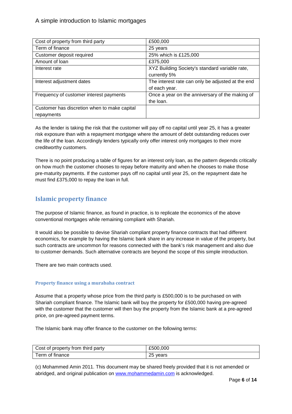| Cost of property from third party            | £500,000                                          |
|----------------------------------------------|---------------------------------------------------|
| Term of finance                              | 25 years                                          |
| Customer deposit required                    | 25% which is £125,000                             |
| Amount of Ioan                               | £375,000                                          |
| Interest rate                                | XYZ Building Society's standard variable rate,    |
|                                              | currently 5%                                      |
| Interest adjustment dates                    | The interest rate can only be adjusted at the end |
|                                              | of each year.                                     |
| Frequency of customer interest payments      | Once a year on the anniversary of the making of   |
|                                              | the loan.                                         |
| Customer has discretion when to make capital |                                                   |
| repayments                                   |                                                   |

As the lender is taking the risk that the customer will pay off no capital until year 25, it has a greater risk exposure than with a repayment mortgage where the amount of debt outstanding reduces over the life of the loan. Accordingly lenders typically only offer interest only mortgages to their more creditworthy customers.

There is no point producing a table of figures for an interest only loan, as the pattern depends critically on how much the customer chooses to repay before maturity and when he chooses to make those pre-maturity payments. If the customer pays off no capital until year 25, on the repayment date he must find £375,000 to repay the loan in full.

## **Islamic property finance**

The purpose of Islamic finance, as found in practice, is to replicate the economics of the above conventional mortgages while remaining compliant with Shariah.

It would also be possible to devise Shariah compliant property finance contracts that had different economics, for example by having the Islamic bank share in any increase in value of the property, but such contracts are uncommon for reasons connected with the bank's risk management and also due to customer demands. Such alternative contracts are beyond the scope of this simple introduction.

There are two main contracts used.

### **Property finance using a murabaha contract**

Assume that a property whose price from the third party is £500,000 is to be purchased on with Shariah compliant finance. The Islamic bank will buy the property for £500,000 having pre-agreed with the customer that the customer will then buy the property from the Islamic bank at a pre-agreed price, on pre-agreed payment terms.

The Islamic bank may offer finance to the customer on the following terms:

| Cost of property from third party | £500,000 |
|-----------------------------------|----------|
| Term of finance                   | 25 years |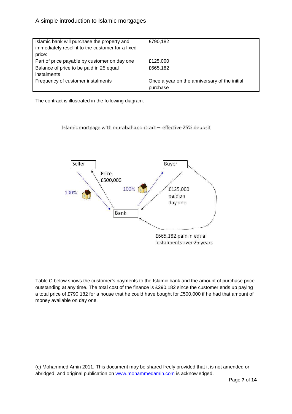| Islamic bank will purchase the property and       | £790,182                                      |
|---------------------------------------------------|-----------------------------------------------|
| immediately resell it to the customer for a fixed |                                               |
| price:                                            |                                               |
| Part of price payable by customer on day one      | £125,000                                      |
| Balance of price to be paid in 25 equal           | £665,182                                      |
| instalments                                       |                                               |
| Frequency of customer instalments                 | Once a year on the anniversary of the initial |
|                                                   | purchase                                      |

The contract is illustrated in the following diagram.

Islamic mortgage with murabaha contract - effective 25% deposit



Table C below shows the customer's payments to the Islamic bank and the amount of purchase price outstanding at any time. The total cost of the finance is £290,182 since the customer ends up paying a total price of £790,182 for a house that he could have bought for £500,000 if he had that amount of money available on day one.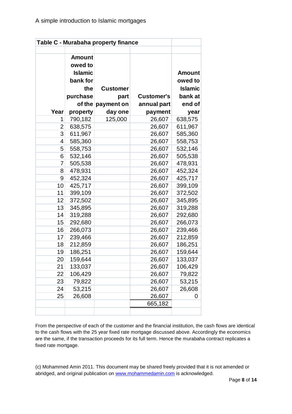| <b>Amount</b><br>owed to<br><b>Islamic</b><br>bank for<br>the<br>purchase | <b>Customer</b><br>part                                                    | <b>Customer's</b>                       | <b>Amount</b><br>owed to<br><b>Islamic</b><br>bank at<br>end of                                                                     |
|---------------------------------------------------------------------------|----------------------------------------------------------------------------|-----------------------------------------|-------------------------------------------------------------------------------------------------------------------------------------|
|                                                                           |                                                                            |                                         | year                                                                                                                                |
|                                                                           |                                                                            |                                         | 638,575                                                                                                                             |
|                                                                           |                                                                            |                                         | 611,967                                                                                                                             |
|                                                                           |                                                                            |                                         | 585,360                                                                                                                             |
|                                                                           |                                                                            |                                         | 558,753                                                                                                                             |
|                                                                           |                                                                            |                                         | 532,146                                                                                                                             |
|                                                                           |                                                                            |                                         | 505,538                                                                                                                             |
| 505,538                                                                   |                                                                            | 26,607                                  | 478,931                                                                                                                             |
| 478,931                                                                   |                                                                            | 26,607                                  | 452,324                                                                                                                             |
| 452,324                                                                   |                                                                            | 26,607                                  | 425,717                                                                                                                             |
| 425,717                                                                   |                                                                            | 26,607                                  | 399,109                                                                                                                             |
| 399,109                                                                   |                                                                            | 26,607                                  | 372,502                                                                                                                             |
| 372,502                                                                   |                                                                            | 26,607                                  | 345,895                                                                                                                             |
| 345,895                                                                   |                                                                            | 26,607                                  | 319,288                                                                                                                             |
| 319,288                                                                   |                                                                            | 26,607                                  | 292,680                                                                                                                             |
| 292,680                                                                   |                                                                            | 26,607                                  | 266,073                                                                                                                             |
| 266,073                                                                   |                                                                            | 26,607                                  | 239,466                                                                                                                             |
| 239,466                                                                   |                                                                            | 26,607                                  | 212,859                                                                                                                             |
| 212,859                                                                   |                                                                            | 26,607                                  | 186,251                                                                                                                             |
| 186,251                                                                   |                                                                            | 26,607                                  | 159,644                                                                                                                             |
| 159,644                                                                   |                                                                            | 26,607                                  | 133,037                                                                                                                             |
| 133,037                                                                   |                                                                            | 26,607                                  | 106,429                                                                                                                             |
| 106,429                                                                   |                                                                            | 26,607                                  | 79,822                                                                                                                              |
| 79,822                                                                    |                                                                            | 26,607                                  | 53,215                                                                                                                              |
| 53,215                                                                    |                                                                            | 26,607                                  | 26,608                                                                                                                              |
| 26,608                                                                    |                                                                            |                                         | 0                                                                                                                                   |
|                                                                           |                                                                            | 665,182                                 |                                                                                                                                     |
|                                                                           | property<br>790,182<br>638,575<br>611,967<br>585,360<br>558,753<br>532,146 | of the payment on<br>day one<br>125,000 | Table C - Murabaha property finance<br>annual part<br>payment<br>26,607<br>26,607<br>26,607<br>26,607<br>26,607<br>26,607<br>26,607 |

From the perspective of each of the customer and the financial institution, the cash flows are identical to the cash flows with the 25 year fixed rate mortgage discussed above. Accordingly the economics are the same, if the transaction proceeds for its full term. Hence the murabaha contract replicates a fixed rate mortgage.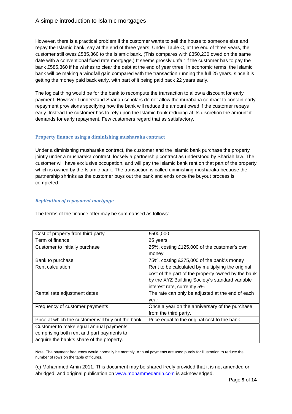However, there is a practical problem if the customer wants to sell the house to someone else and repay the Islamic bank, say at the end of three years. Under Table C, at the end of three years, the customer still owes £585,360 to the Islamic bank. (This compares with £350,230 owed on the same date with a conventional fixed rate mortgage.) It seems grossly unfair if the customer has to pay the bank £585,360 if he wishes to clear the debt at the end of year three. In economic terms, the Islamic bank will be making a windfall gain compared with the transaction running the full 25 years, since it is getting the money paid back early, with part of it being paid back 22 years early.

The logical thing would be for the bank to recompute the transaction to allow a discount for early payment. However I understand Shariah scholars do not allow the murabaha contract to contain early repayment provisions specifying how the bank will reduce the amount owed if the customer repays early. Instead the customer has to rely upon the Islamic bank reducing at its discretion the amount it demands for early repayment. Few customers regard that as satisfactory.

#### **Property finance using a diminishing musharaka contract**

Under a diminishing musharaka contract, the customer and the Islamic bank purchase the property jointly under a musharaka contract, loosely a partnership contract as understood by Shariah law. The customer will have exclusive occupation, and will pay the Islamic bank rent on that part of the property which is owned by the Islamic bank. The transaction is called diminishing musharaka because the partnership shrinks as the customer buys out the bank and ends once the buyout process is completed.

#### *Replication of repayment mortgage*

The terms of the finance offer may be summarised as follows:

| Cost of property from third party                 | £500,000                                           |
|---------------------------------------------------|----------------------------------------------------|
| Term of finance                                   | 25 years                                           |
| Customer to initially purchase                    | 25%, costing £125,000 of the customer's own        |
|                                                   | money                                              |
| Bank to purchase                                  | 75%, costing £375,000 of the bank's money          |
| Rent calculation                                  | Rent to be calculated by multiplying the original  |
|                                                   | cost of the part of the property owned by the bank |
|                                                   | by the XYZ Building Society's standard variable    |
|                                                   | interest rate, currently 5%                        |
| Rental rate adjustment dates                      | The rate can only be adjusted at the end of each   |
|                                                   | year.                                              |
| Frequency of customer payments                    | Once a year on the anniversary of the purchase     |
|                                                   | from the third party.                              |
| Price at which the customer will buy out the bank | Price equal to the original cost to the bank       |
| Customer to make equal annual payments            |                                                    |
| comprising both rent and part payments to         |                                                    |
| acquire the bank's share of the property.         |                                                    |

Note: The payment frequency would normally be monthly. Annual payments are used purely for illustration to reduce the number of rows on the table of figures.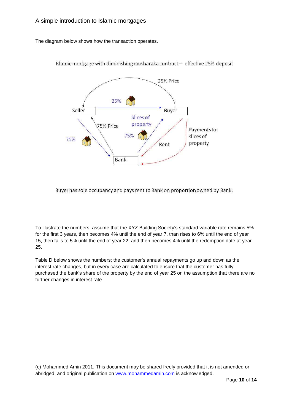The diagram below shows how the transaction operates.



Islamic mortgage with diminishing musharaka contract - effective 25% deposit

Buyer has sole occupancy and pays rent to Bank on proportion owned by Bank.

To illustrate the numbers, assume that the XYZ Building Society's standard variable rate remains 5% for the first 3 years, then becomes 4% until the end of year 7, than rises to 6% until the end of year 15, then falls to 5% until the end of year 22, and then becomes 4% until the redemption date at year 25.

Table D below shows the numbers; the customer's annual repayments go up and down as the interest rate changes, but in every case are calculated to ensure that the customer has fully purchased the bank's share of the property by the end of year 25 on the assumption that there are no further changes in interest rate.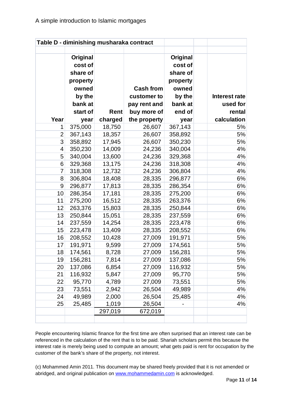|                |                                                                           |         | Table D - diminishing musharaka contract        |                                                                           |                                  |
|----------------|---------------------------------------------------------------------------|---------|-------------------------------------------------|---------------------------------------------------------------------------|----------------------------------|
|                | Original<br>cost of<br>share of<br>property<br>owned<br>by the<br>bank at |         | <b>Cash from</b><br>customer to<br>pay rent and | Original<br>cost of<br>share of<br>property<br>owned<br>by the<br>bank at | <b>Interest rate</b><br>used for |
|                | start of                                                                  | Rent    | buy more of                                     | end of                                                                    | rental                           |
| Year           | year                                                                      | charged | the property                                    | year                                                                      | calculation                      |
| 1              | 375,000                                                                   | 18,750  | 26,607                                          | 367,143                                                                   | 5%                               |
| $\overline{2}$ | 367,143                                                                   | 18,357  | 26,607                                          | 358,892                                                                   | 5%                               |
| 3              | 358,892                                                                   | 17,945  | 26,607                                          | 350,230                                                                   | 5%                               |
| 4              | 350,230                                                                   | 14,009  | 24,236                                          | 340,004                                                                   | 4%                               |
| 5              | 340,004                                                                   | 13,600  | 24,236                                          | 329,368                                                                   | 4%                               |
| 6              | 329,368                                                                   | 13,175  | 24,236                                          | 318,308                                                                   | 4%                               |
| 7              | 318,308                                                                   | 12,732  | 24,236                                          | 306,804                                                                   | 4%                               |
| 8              | 306,804                                                                   | 18,408  | 28,335                                          | 296,877                                                                   | 6%                               |
| 9              | 296,877                                                                   | 17,813  | 28,335                                          | 286,354                                                                   | 6%                               |
| 10             | 286,354                                                                   | 17,181  | 28,335                                          | 275,200                                                                   | 6%                               |
| 11             | 275,200                                                                   | 16,512  | 28,335                                          | 263,376                                                                   | 6%                               |
| 12             | 263,376                                                                   | 15,803  | 28,335                                          | 250,844                                                                   | 6%                               |
| 13             | 250,844                                                                   | 15,051  | 28,335                                          | 237,559                                                                   | 6%                               |
| 14             | 237,559                                                                   | 14,254  | 28,335                                          | 223,478                                                                   | 6%                               |
| 15             | 223,478                                                                   | 13,409  | 28,335                                          | 208,552                                                                   | 6%                               |
| 16             | 208,552                                                                   | 10,428  | 27,009                                          | 191,971                                                                   | 5%                               |
| 17             | 191,971                                                                   | 9,599   | 27,009                                          | 174,561                                                                   | 5%                               |
| 18             | 174,561                                                                   | 8,728   | 27,009                                          | 156,281                                                                   | 5%                               |
| 19             | 156,281                                                                   | 7,814   | 27,009                                          | 137,086                                                                   | 5%                               |
| 20             | 137,086                                                                   | 6,854   | 27,009                                          | 116,932                                                                   | 5%                               |
| 21             | 116,932                                                                   | 5,847   | 27,009                                          | 95,770                                                                    | 5%                               |
| 22             | 95,770                                                                    | 4,789   | 27,009                                          | 73,551                                                                    | 5%                               |
| 23             | 73,551                                                                    | 2,942   | 26,504                                          | 49,989                                                                    | 4%                               |
| 24             | 49,989                                                                    | 2,000   | 26,504                                          | 25,485                                                                    | 4%                               |
| 25             | 25,485                                                                    | 1,019   | 26,504                                          |                                                                           | 4%                               |
|                |                                                                           | 297,019 | 672,019                                         |                                                                           |                                  |

People encountering Islamic finance for the first time are often surprised that an interest rate can be referenced in the calculation of the rent that is to be paid. Shariah scholars permit this because the interest rate is merely being used to compute an amount; what gets paid is rent for occupation by the customer of the bank's share of the property, not interest.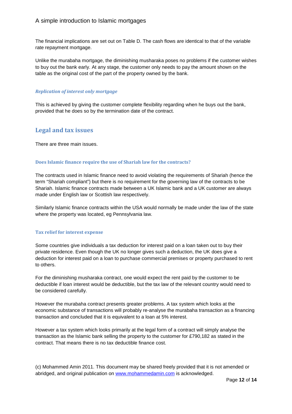The financial implications are set out on Table D. The cash flows are identical to that of the variable rate repayment mortgage.

Unlike the murabaha mortgage, the diminishing musharaka poses no problems if the customer wishes to buy out the bank early. At any stage, the customer only needs to pay the amount shown on the table as the original cost of the part of the property owned by the bank.

#### *Replication of interest only mortgage*

This is achieved by giving the customer complete flexibility regarding when he buys out the bank, provided that he does so by the termination date of the contract.

## **Legal and tax issues**

There are three main issues.

#### **Does Islamic finance require the use of Shariah law for the contracts?**

The contracts used in Islamic finance need to avoid violating the requirements of Shariah (hence the term "Shariah compliant") but there is no requirement for the governing law of the contracts to be Shariah. Islamic finance contracts made between a UK Islamic bank and a UK customer are always made under English law or Scottish law respectively.

Similarly Islamic finance contracts within the USA would normally be made under the law of the state where the property was located, eg Pennsylvania law.

#### **Tax relief for interest expense**

Some countries give individuals a tax deduction for interest paid on a loan taken out to buy their private residence. Even though the UK no longer gives such a deduction, the UK does give a deduction for interest paid on a loan to purchase commercial premises or property purchased to rent to others.

For the diminishing musharaka contract, one would expect the rent paid by the customer to be deductible if loan interest would be deductible, but the tax law of the relevant country would need to be considered carefully.

However the murabaha contract presents greater problems. A tax system which looks at the economic substance of transactions will probably re-analyse the murabaha transaction as a financing transaction and concluded that it is equivalent to a loan at 5% interest.

However a tax system which looks primarily at the legal form of a contract will simply analyse the transaction as the Islamic bank selling the property to the customer for £790,182 as stated in the contract. That means there is no tax deductible finance cost.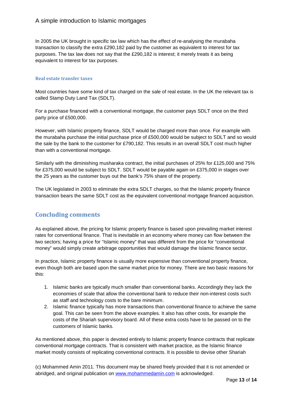In 2005 the UK brought in specific tax law which has the effect of re-analysing the murabaha transaction to classify the extra £290,182 paid by the customer as equivalent to interest for tax purposes. The tax law does not say that the £290,182 is interest; it merely treats it as being equivalent to interest for tax purposes.

#### **Real estate transfer taxes**

Most countries have some kind of tax charged on the sale of real estate. In the UK the relevant tax is called Stamp Duty Land Tax (SDLT).

For a purchase financed with a conventional mortgage, the customer pays SDLT once on the third party price of £500,000.

However, with Islamic property finance, SDLT would be charged more than once. For example with the murabaha purchase the initial purchase price of £500,000 would be subject to SDLT and so would the sale by the bank to the customer for £790,182. This results in an overall SDLT cost much higher than with a conventional mortgage.

Similarly with the diminishing musharaka contract, the initial purchases of 25% for £125,000 and 75% for £375,000 would be subject to SDLT. SDLT would be payable again on £375,000 in stages over the 25 years as the customer buys out the bank's 75% share of the property.

The UK legislated in 2003 to eliminate the extra SDLT charges, so that the Islamic property finance transaction bears the same SDLT cost as the equivalent conventional mortgage financed acquisition.

## **Concluding comments**

As explained above, the pricing for Islamic property finance is based upon prevailing market interest rates for conventional finance. That is inevitable in an economy where money can flow between the two sectors; having a price for "Islamic money" that was different from the price for "conventional money" would simply create arbitrage opportunities that would damage the Islamic finance sector.

In practice, Islamic property finance is usually more expensive than conventional property finance, even though both are based upon the same market price for money. There are two basic reasons for this:

- 1. Islamic banks are typically much smaller than conventional banks. Accordingly they lack the economies of scale that allow the conventional bank to reduce their non-interest costs such as staff and technology costs to the bare minimum.
- 2. Islamic finance typically has more transactions than conventional finance to achieve the same goal. This can be seen from the above examples. It also has other costs, for example the costs of the Shariah supervisory board. All of these extra costs have to be passed on to the customers of Islamic banks.

As mentioned above, this paper is devoted entirely to Islamic property finance contracts that replicate conventional mortgage contracts. That is consistent with market practice, as the Islamic finance market mostly consists of replicating conventional contracts. It is possible to devise other Shariah